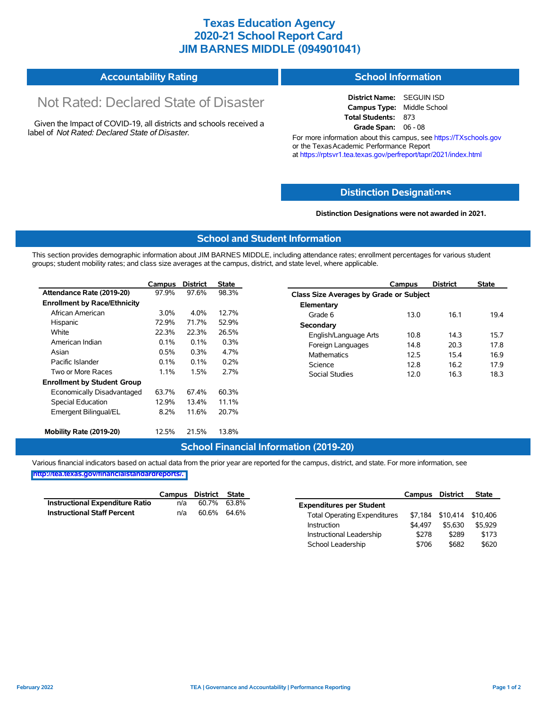## **Texas Education Agency 2020-21 School Report Card JIM BARNES MIDDLE (094901041)**

#### **Accountability Rating School Information**

# Not Rated: Declared State of Disaster

Given the Impact of COVID-19, all districts and schools received a label of *Not Rated: Declared State of Disaster.*

**District Name:** SEGUIN ISD **Campus Type:** Middle School **Total Students:** 873 **Grade Span:** 06 - 08

For more information about this campus, see https://TXschools.gov or the Texas Academic Performance Report at https://rptsvr1.tea.texas.gov/perfreport/tapr/2021/index.html

#### **Distinction Designat[ions](https://TXschools.gov)**

**Distinction Designations were not awarded in 2021.**

School Leadership  $$706$  \$682 \$620

#### **School and Student Information**

This section provides demographic information about JIM BARNES MIDDLE, including attendance rates; enrollment percentages for various student groups; student mobility rates; and class size averages at the campus, district, and state level, where applicable.

|                                     | Campus                                     | <b>District</b> | <b>State</b> | Campus                        | <b>District</b>                         | <b>State</b> |  |  |  |  |
|-------------------------------------|--------------------------------------------|-----------------|--------------|-------------------------------|-----------------------------------------|--------------|--|--|--|--|
| Attendance Rate (2019-20)           | 97.9%                                      | 97.6%           | 98.3%        |                               | Class Size Averages by Grade or Subject |              |  |  |  |  |
| <b>Enrollment by Race/Ethnicity</b> |                                            |                 |              | Elementary                    |                                         |              |  |  |  |  |
| African American                    | $3.0\%$                                    | 4.0%            | 12.7%        | Grade 6<br>13.0               | 16.1                                    | 19.4         |  |  |  |  |
| Hispanic                            | 72.9%                                      | 71.7%           | 52.9%        | Secondary                     |                                         |              |  |  |  |  |
| White                               | 22.3%<br>22.3%<br>26.5%                    |                 |              | English/Language Arts<br>10.8 | 14.3                                    | 15.7         |  |  |  |  |
| American Indian                     | 0.3%<br>0.1%<br>0.1%<br>Foreign Languages  |                 |              |                               | 20.3                                    | 17.8         |  |  |  |  |
| Asian                               | 0.3%<br>4.7%<br>0.5%<br><b>Mathematics</b> |                 |              | 12.5                          | 15.4                                    | 16.9         |  |  |  |  |
| Pacific Islander                    | 0.1%                                       | 0.1%            | 0.2%         | 12.8<br>Science               | 16.2                                    | 17.9         |  |  |  |  |
| Two or More Races                   | 1.1%                                       | 1.5%            | 2.7%         | Social Studies<br>12.0        | 16.3                                    | 18.3         |  |  |  |  |
| <b>Enrollment by Student Group</b>  |                                            |                 |              |                               |                                         |              |  |  |  |  |
| Economically Disadvantaged          | 63.7%                                      | 67.4%           | 60.3%        |                               |                                         |              |  |  |  |  |
| Special Education                   | 12.9%                                      | 13.4%           | 11.1%        |                               |                                         |              |  |  |  |  |
| Emergent Bilingual/EL               | 8.2%                                       | 11.6%           | 20.7%        |                               |                                         |              |  |  |  |  |
|                                     |                                            |                 |              |                               |                                         |              |  |  |  |  |
| Mobility Rate (2019-20)             | 12.5%                                      | 21.5%           | 13.8%        |                               |                                         |              |  |  |  |  |

#### **School Financial Information (2019-20)**

Various financial indicators based on actual data from the prior year are reported for the campus, district, and state. For more information, see

**[http://tea.texas.gov/financialstandardreports/.](http://tea.texas.gov/financialstandardreports/)**

|                                    | Campus | District State |             |                                     | Campus  | <b>District</b>  | <b>State</b> |
|------------------------------------|--------|----------------|-------------|-------------------------------------|---------|------------------|--------------|
| Instructional Expenditure Ratio    | n/a    | 60.7%          | 63.8%       | <b>Expenditures per Student</b>     |         |                  |              |
| <b>Instructional Staff Percent</b> | n/a    |                | 60.6% 64.6% | <b>Total Operating Expenditures</b> |         | \$7,184 \$10,414 | \$10.406     |
|                                    |        |                |             | Instruction                         | \$4.497 | \$5,630          | \$5.929      |
|                                    |        |                |             | Instructional Leadership            | \$278   | \$289            | \$173        |